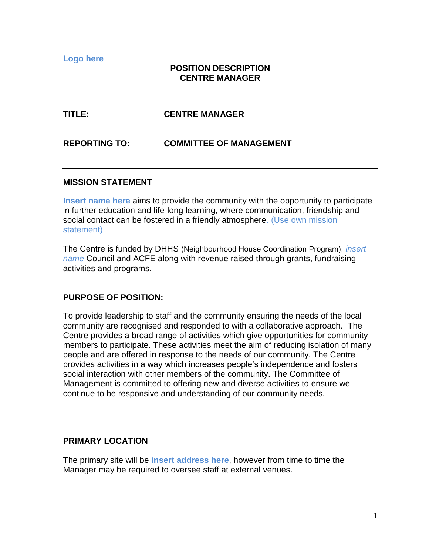**Logo here**

# **POSITION DESCRIPTION CENTRE MANAGER**

| TITLE: .             | <b>CENTRE MANAGER</b>          |
|----------------------|--------------------------------|
| <b>REPORTING TO:</b> | <b>COMMITTEE OF MANAGEMENT</b> |

### **MISSION STATEMENT**

**Insert name here** aims to provide the community with the opportunity to participate in further education and life-long learning, where communication, friendship and social contact can be fostered in a friendly atmosphere. (Use own mission statement)

The Centre is funded by DHHS (Neighbourhood House Coordination Program), *insert name* Council and ACFE along with revenue raised through grants, fundraising activities and programs.

### **PURPOSE OF POSITION:**

To provide leadership to staff and the community ensuring the needs of the local community are recognised and responded to with a collaborative approach. The Centre provides a broad range of activities which give opportunities for community members to participate. These activities meet the aim of reducing isolation of many people and are offered in response to the needs of our community. The Centre provides activities in a way which increases people's independence and fosters social interaction with other members of the community. The Committee of Management is committed to offering new and diverse activities to ensure we continue to be responsive and understanding of our community needs.

#### **PRIMARY LOCATION**

The primary site will be **insert address here**, however from time to time the Manager may be required to oversee staff at external venues.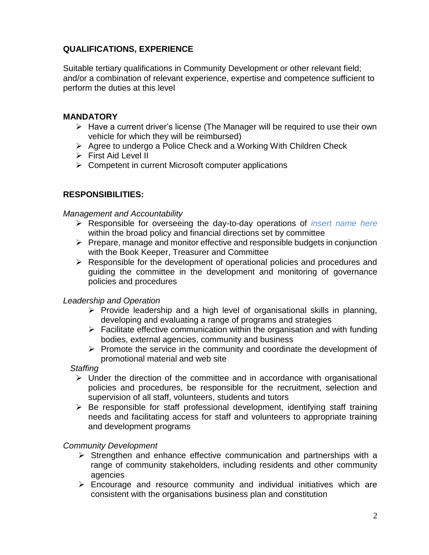# **QUALIFICATIONS, EXPERIENCE**

Suitable tertiary qualifications in Community Development or other relevant field; and/or a combination of relevant experience, expertise and competence sufficient to perform the duties at this level

# **MANDATORY**

- $\triangleright$  Have a current driver's license (The Manager will be required to use their own vehicle for which they will be reimbursed)
- $\triangleright$  Agree to undergo a Police Check and a Working With Children Check
- $\triangleright$  First Aid Level II
- $\triangleright$  Competent in current Microsoft computer applications

# **RESPONSIBILITIES:**

#### *Management and Accountability*

- Responsible for overseeing the day-to-day operations of *insert name here* within the broad policy and financial directions set by committee
- $\triangleright$  Prepare, manage and monitor effective and responsible budgets in conjunction with the Book Keeper, Treasurer and Committee
- $\triangleright$  Responsible for the development of operational policies and procedures and guiding the committee in the development and monitoring of governance policies and procedures

### *Leadership and Operation*

- $\triangleright$  Provide leadership and a high level of organisational skills in planning, developing and evaluating a range of programs and strategies
- $\triangleright$  Facilitate effective communication within the organisation and with funding bodies, external agencies, community and business
- $\triangleright$  Promote the service in the community and coordinate the development of promotional material and web site

*Staffing*

- $\triangleright$  Under the direction of the committee and in accordance with organisational policies and procedures, be responsible for the recruitment, selection and supervision of all staff, volunteers, students and tutors
- $\triangleright$  Be responsible for staff professional development, identifying staff training needs and facilitating access for staff and volunteers to appropriate training and development programs

### *Community Development*

- $\triangleright$  Strengthen and enhance effective communication and partnerships with a range of community stakeholders, including residents and other community agencies
- $\triangleright$  Encourage and resource community and individual initiatives which are consistent with the organisations business plan and constitution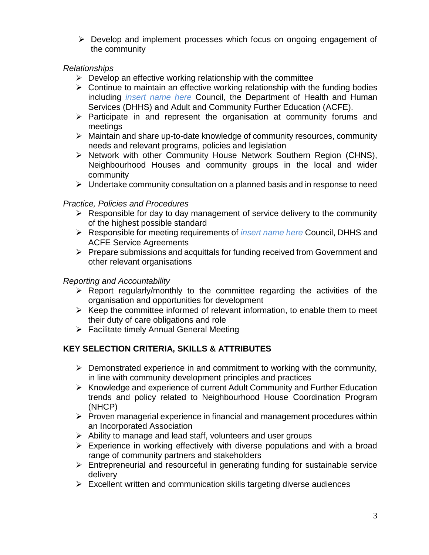$\triangleright$  Develop and implement processes which focus on ongoing engagement of the community

# *Relationships*

- $\triangleright$  Develop an effective working relationship with the committee
- $\triangleright$  Continue to maintain an effective working relationship with the funding bodies including *insert name here* Council, the Department of Health and Human Services (DHHS) and Adult and Community Further Education (ACFE).
- $\triangleright$  Participate in and represent the organisation at community forums and meetings
- Maintain and share up-to-date knowledge of community resources, community needs and relevant programs, policies and legislation
- Network with other Community House Network Southern Region (CHNS), Neighbourhood Houses and community groups in the local and wider community
- $\triangleright$  Undertake community consultation on a planned basis and in response to need

# *Practice, Policies and Procedures*

- $\triangleright$  Responsible for day to day management of service delivery to the community of the highest possible standard
- Responsible for meeting requirements of *insert name here* Council, DHHS and ACFE Service Agreements
- $\triangleright$  Prepare submissions and acquittals for funding received from Government and other relevant organisations

# *Reporting and Accountability*

- $\triangleright$  Report regularly/monthly to the committee regarding the activities of the organisation and opportunities for development
- $\triangleright$  Keep the committee informed of relevant information, to enable them to meet their duty of care obligations and role
- $\triangleright$  Facilitate timely Annual General Meeting

# **KEY SELECTION CRITERIA, SKILLS & ATTRIBUTES**

- $\triangleright$  Demonstrated experience in and commitment to working with the community, in line with community development principles and practices
- $\triangleright$  Knowledge and experience of current Adult Community and Further Education trends and policy related to Neighbourhood House Coordination Program (NHCP)
- $\triangleright$  Proven managerial experience in financial and management procedures within an Incorporated Association
- $\triangleright$  Ability to manage and lead staff, volunteers and user groups
- $\triangleright$  Experience in working effectively with diverse populations and with a broad range of community partners and stakeholders
- $\triangleright$  Entrepreneurial and resourceful in generating funding for sustainable service delivery
- $\triangleright$  Excellent written and communication skills targeting diverse audiences